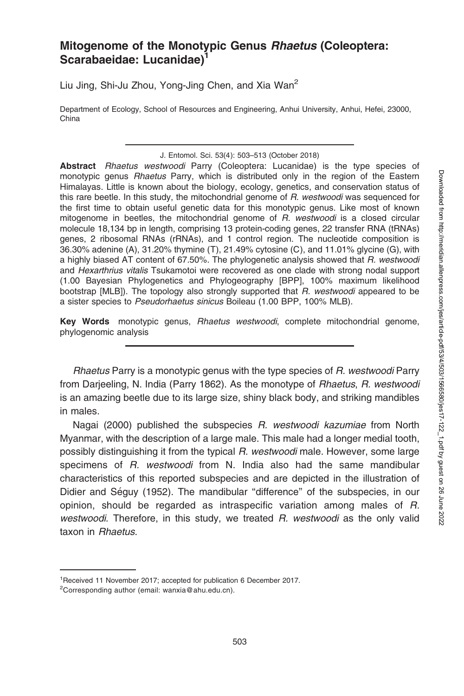# Mitogenome of the Monotypic Genus Rhaetus (Coleoptera: Scarabaeidae: Lucanidae)<sup>1</sup>

Liu Jing, Shi-Ju Zhou, Yong-Jing Chen, and Xia Wan<sup>2</sup>

Department of Ecology, School of Resources and Engineering, Anhui University, Anhui, Hefei, 23000, China

Abstract Rhaetus westwoodi Parry (Coleoptera: Lucanidae) is the type species of monotypic genus Rhaetus Parry, which is distributed only in the region of the Eastern Himalayas. Little is known about the biology, ecology, genetics, and conservation status of this rare beetle. In this study, the mitochondrial genome of R. westwoodi was sequenced for the first time to obtain useful genetic data for this monotypic genus. Like most of known mitogenome in beetles, the mitochondrial genome of R. westwoodi is a closed circular molecule 18,134 bp in length, comprising 13 protein-coding genes, 22 transfer RNA (tRNAs) genes, 2 ribosomal RNAs (rRNAs), and 1 control region. The nucleotide composition is 36.30% adenine (A), 31.20% thymine (T), 21.49% cytosine (C), and 11.01% glycine (G), with a highly biased AT content of 67.50%. The phylogenetic analysis showed that R. westwoodi and Hexarthrius vitalis Tsukamotoi were recovered as one clade with strong nodal support (1.00 Bayesian Phylogenetics and Phylogeography [BPP], 100% maximum likelihood bootstrap [MLB]). The topology also strongly supported that R. westwoodi appeared to be a sister species to Pseudorhaetus sinicus Boileau (1.00 BPP, 100% MLB).

Key Words monotypic genus, Rhaetus westwoodi, complete mitochondrial genome, phylogenomic analysis

Rhaetus Parry is a monotypic genus with the type species of R. westwoodi Parry from Darjeeling, N. India (Parry 1862). As the monotype of Rhaetus, R. westwoodi is an amazing beetle due to its large size, shiny black body, and striking mandibles in males.

Nagai (2000) published the subspecies R. westwoodi kazumiae from North Myanmar, with the description of a large male. This male had a longer medial tooth, possibly distinguishing it from the typical R. westwoodi male. However, some large specimens of R. westwoodi from N. India also had the same mandibular characteristics of this reported subspecies and are depicted in the illustration of Didier and Séguy (1952). The mandibular "difference" of the subspecies, in our opinion, should be regarded as intraspecific variation among males of R. westwoodi. Therefore, in this study, we treated R. westwoodi as the only valid taxon in Rhaetus.

J. Entomol. Sci. 53(4): 503–513 (October 2018)

<sup>1</sup> Received 11 November 2017; accepted for publication 6 December 2017.

<sup>&</sup>lt;sup>2</sup>Corresponding author (email: wanxia@ahu.edu.cn).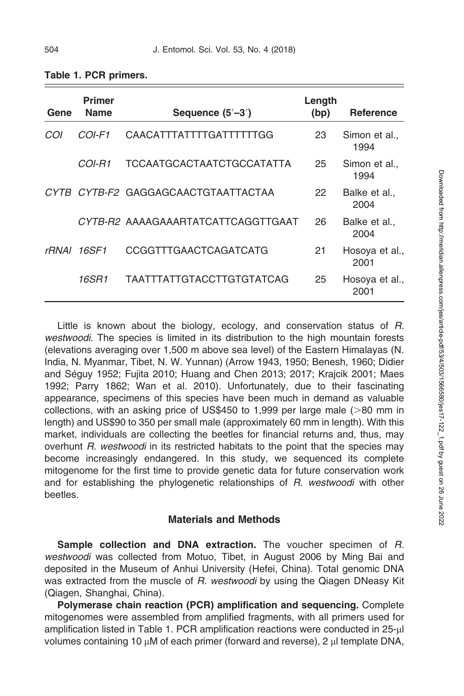| Gene  | <b>Primer</b><br><b>Name</b> | Sequence $(5'-3')$                  | Length<br>(bp) | <b>Reference</b>       |
|-------|------------------------------|-------------------------------------|----------------|------------------------|
| COI   | $COI-F1$                     | CAACATTTATTTTGATTTTTTGG             | 23             | Simon et al<br>1994    |
|       | COI-R1                       | TCCAATGCACTAATCTGCCATATTA           | 25             | Simon et al.,<br>1994  |
|       |                              | CYTB CYTB-F2 GAGGAGCAACTGTAATTACTAA | 22             | Balke et al.,<br>2004  |
|       |                              | CYTB-R2 AAAAGAAARTATCATTCAGGTTGAAT  | 26             | Balke et al.,<br>2004  |
| rRNAI | 16SF1                        | CCGGTTTGAACTCAGATCATG               | 21             | Hosoya et al.,<br>2001 |
|       | 16SR1                        | <b>TAATTTATTGTACCTTGTGTATCAG</b>    | 25             | Hosova et al.,<br>2001 |

Table 1. PCR primers.

Little is known about the biology, ecology, and conservation status of R. westwoodi. The species is limited in its distribution to the high mountain forests (elevations averaging over 1,500 m above sea level) of the Eastern Himalayas (N. India, N. Myanmar, Tibet, N. W. Yunnan) (Arrow 1943, 1950; Benesh, 1960; Didier and Séguy 1952; Fujita 2010; Huang and Chen 2013; 2017; Krajcik 2001; Maes 1992; Parry 1862; Wan et al. 2010). Unfortunately, due to their fascinating appearance, specimens of this species have been much in demand as valuable collections, with an asking price of US\$450 to 1,999 per large male ( $>80$  mm in length) and US\$90 to 350 per small male (approximately 60 mm in length). With this market, individuals are collecting the beetles for financial returns and, thus, may overhunt R. westwoodi in its restricted habitats to the point that the species may become increasingly endangered. In this study, we sequenced its complete mitogenome for the first time to provide genetic data for future conservation work and for establishing the phylogenetic relationships of R. westwoodi with other beetles.

#### Materials and Methods

Sample collection and DNA extraction. The voucher specimen of R. westwoodi was collected from Motuo, Tibet, in August 2006 by Ming Bai and deposited in the Museum of Anhui University (Hefei, China). Total genomic DNA was extracted from the muscle of R. westwoodi by using the Qiagen DNeasy Kit (Qiagen, Shanghai, China).

Polymerase chain reaction (PCR) amplification and sequencing. Complete mitogenomes were assembled from amplified fragments, with all primers used for amplification listed in Table 1. PCR amplification reactions were conducted in 25-µl volumes containing 10  $\mu$ M of each primer (forward and reverse), 2  $\mu$ l template DNA,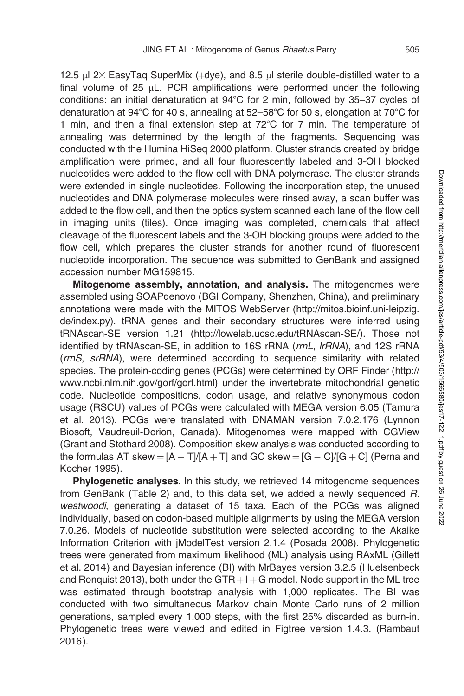12.5  $\mu$ l 2 $\times$  EasyTaq SuperMix (+dye), and 8.5  $\mu$ l sterile double-distilled water to a final volume of 25  $\mu$ L. PCR amplifications were performed under the following conditions: an initial denaturation at  $94^{\circ}$ C for 2 min, followed by 35–37 cycles of denaturation at 94 $\degree$ C for 40 s, annealing at 52–58 $\degree$ C for 50 s, elongation at 70 $\degree$ C for 1 min, and then a final extension step at  $72^{\circ}$ C for 7 min. The temperature of annealing was determined by the length of the fragments. Sequencing was conducted with the Illumina HiSeq 2000 platform. Cluster strands created by bridge amplification were primed, and all four fluorescently labeled and 3-OH blocked nucleotides were added to the flow cell with DNA polymerase. The cluster strands were extended in single nucleotides. Following the incorporation step, the unused nucleotides and DNA polymerase molecules were rinsed away, a scan buffer was added to the flow cell, and then the optics system scanned each lane of the flow cell in imaging units (tiles). Once imaging was completed, chemicals that affect cleavage of the fluorescent labels and the 3-OH blocking groups were added to the flow cell, which prepares the cluster strands for another round of fluorescent nucleotide incorporation. The sequence was submitted to GenBank and assigned accession number MG159815.

Mitogenome assembly, annotation, and analysis. The mitogenomes were assembled using SOAPdenovo (BGI Company, Shenzhen, China), and preliminary annotations were made with the MITOS WebServer (http://mitos.bioinf.uni-leipzig. de/index.py). tRNA genes and their secondary structures were inferred using tRNAscan-SE version 1.21 (http://lowelab.ucsc.edu/tRNAscan-SE/). Those not identified by tRNAscan-SE, in addition to 16S rRNA (rrnL, IrRNA), and 12S rRNA (rrnS, srRNA), were determined according to sequence similarity with related species. The protein-coding genes (PCGs) were determined by ORF Finder (http:// www.ncbi.nlm.nih.gov/gorf/gorf.html) under the invertebrate mitochondrial genetic code. Nucleotide compositions, codon usage, and relative synonymous codon usage (RSCU ) values of PCGs were calculated with MEGA version 6.05 (Tamura et al. 2013). PCGs were translated with DNAMAN version 7.0.2.176 (Lynnon Biosoft, Vaudreuil-Dorion, Canada). Mitogenomes were mapped with CGView (Grant and Stothard 2008). Composition skew analysis was conducted according to the formulas AT skew  $=$  [A  $-$  T]/[A  $+$  T] and GC skew  $=$  [G  $-$  C]/[G  $+$  C] (Perna and Kocher 1995).

Phylogenetic analyses. In this study, we retrieved 14 mitogenome sequences from GenBank (Table 2) and, to this data set, we added a newly sequenced R. westwoodi, generating a dataset of 15 taxa. Each of the PCGs was aligned individually, based on codon-based multiple alignments by using the MEGA version 7.0.26. Models of nucleotide substitution were selected according to the Akaike Information Criterion with jModelTest version 2.1.4 (Posada 2008). Phylogenetic trees were generated from maximum likelihood (ML) analysis using RAxML (Gillett et al. 2014) and Bayesian inference (BI) with MrBayes version 3.2.5 (Huelsenbeck and Ronquist 2013), both under the GTR  $+I+G$  model. Node support in the ML tree was estimated through bootstrap analysis with 1,000 replicates. The BI was conducted with two simultaneous Markov chain Monte Carlo runs of 2 million generations, sampled every 1,000 steps, with the first 25% discarded as burn-in. Phylogenetic trees were viewed and edited in Figtree version 1.4.3. (Rambaut 2016).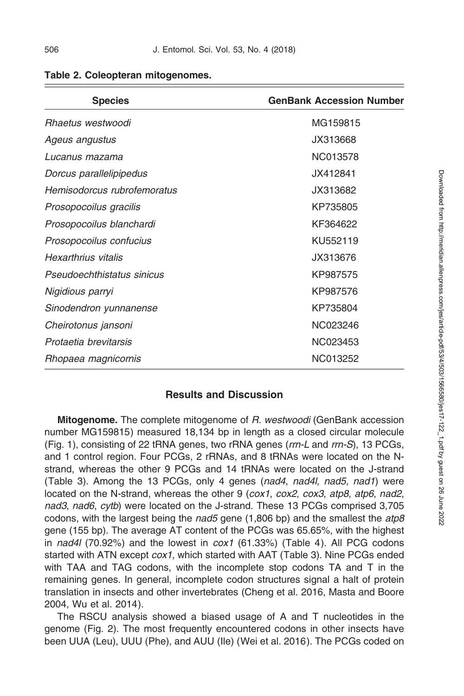| <b>Species</b>              | <b>GenBank Accession Number</b> |
|-----------------------------|---------------------------------|
| Rhaetus westwoodi           | MG159815                        |
| Ageus angustus              | JX313668                        |
| Lucanus mazama              | NC013578                        |
| Dorcus parallelipipedus     | JX412841                        |
| Hemisodorcus rubrofemoratus | JX313682                        |
| Prosopocoilus gracilis      | KP735805                        |
| Prosopocoilus blanchardi    | KF364622                        |
| Prosopocoilus confucius     | KU552119                        |
| Hexarthrius vitalis         | JX313676                        |
| Pseudoechthistatus sinicus  | KP987575                        |
| Nigidious parryi            | KP987576                        |
| Sinodendron yunnanense      | KP735804                        |
| Cheirotonus jansoni         | NC023246                        |
| Protaetia brevitarsis       | NC023453                        |
| Rhopaea magnicornis         | NC013252                        |

Table 2. Coleopteran mitogenomes.

### Results and Discussion

Mitogenome. The complete mitogenome of R. westwoodi (GenBank accession number MG159815) measured 18,134 bp in length as a closed circular molecule (Fig. 1), consisting of 22 tRNA genes, two rRNA genes (rrn-L and rrn-S), 13 PCGs, and 1 control region. Four PCGs, 2 rRNAs, and 8 tRNAs were located on the Nstrand, whereas the other 9 PCGs and 14 tRNAs were located on the J-strand (Table 3). Among the 13 PCGs, only 4 genes (nad4, nad4l, nad5, nad1) were located on the N-strand, whereas the other 9 (cox1, cox2, cox3, atp8, atp6, nad2, nad3, nad6, cytb) were located on the J-strand. These 13 PCGs comprised 3,705 codons, with the largest being the *nad5* gene  $(1,806$  bp) and the smallest the *atp8* gene (155 bp). The average AT content of the PCGs was 65.65%, with the highest in nad4l (70.92%) and the lowest in  $\cos t$  (61.33%) (Table 4). All PCG codons started with ATN except  $\cos 1$ , which started with AAT (Table 3). Nine PCGs ended with TAA and TAG codons, with the incomplete stop codons TA and T in the remaining genes. In general, incomplete codon structures signal a halt of protein translation in insects and other invertebrates (Cheng et al. 2016, Masta and Boore 2004, Wu et al. 2014).

The RSCU analysis showed a biased usage of A and T nucleotides in the genome (Fig. 2). The most frequently encountered codons in other insects have been UUA (Leu), UUU (Phe), and AUU (Ile) (Wei et al. 2016). The PCGs coded on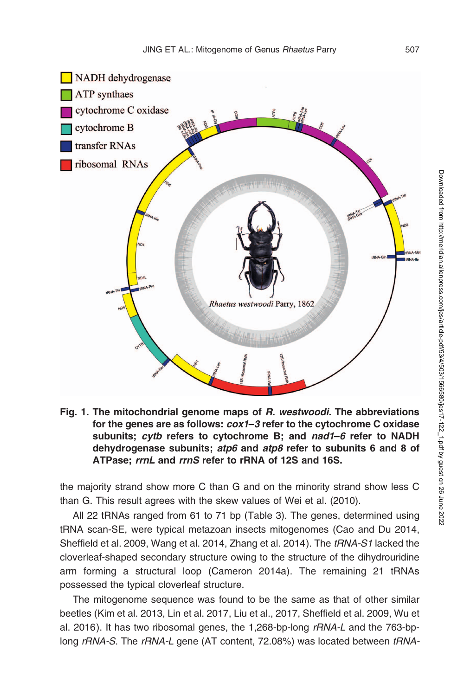

Fig. 1. The mitochondrial genome maps of R. westwoodi. The abbreviations for the genes are as follows: cox1–3 refer to the cytochrome C oxidase subunits; cytb refers to cytochrome B; and nad1–6 refer to NADH dehydrogenase subunits; atp6 and atp8 refer to subunits 6 and 8 of ATPase: rrnL and rrnS refer to rRNA of 12S and 16S.

the majority strand show more C than G and on the minority strand show less C than G. This result agrees with the skew values of Wei et al. (2010).

All 22 tRNAs ranged from 61 to 71 bp (Table 3). The genes, determined using tRNA scan-SE, were typical metazoan insects mitogenomes (Cao and Du 2014, Sheffield et al. 2009, Wang et al. 2014, Zhang et al. 2014). The tRNA-S1 lacked the cloverleaf-shaped secondary structure owing to the structure of the dihydrouridine arm forming a structural loop (Cameron 2014a). The remaining 21 tRNAs possessed the typical cloverleaf structure.

The mitogenome sequence was found to be the same as that of other similar beetles (Kim et al. 2013, Lin et al. 2017, Liu et al., 2017, Sheffield et al. 2009, Wu et al. 2016). It has two ribosomal genes, the 1,268-bp-long  $rRNA-L$  and the 763-bplong rRNA-S. The rRNA-L gene (AT content, 72.08%) was located between tRNA-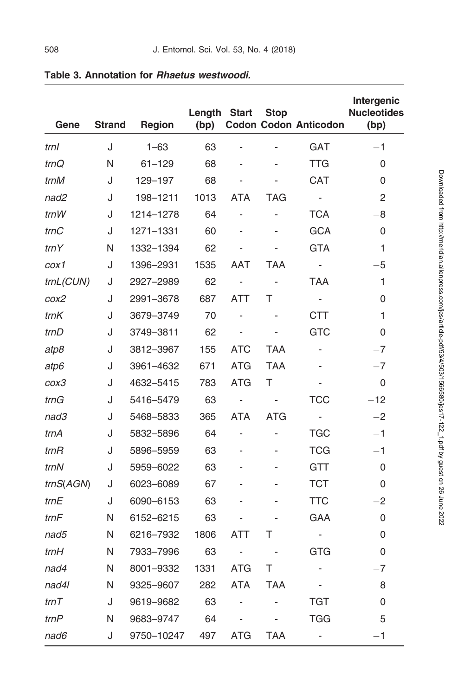| Gene             | <b>Strand</b> | Region     | Length<br>(bp) | <b>Start</b>             | <b>Stop</b>              | <b>Codon Codon Anticodon</b> | Intergenic<br><b>Nucleotides</b><br>(bp) |
|------------------|---------------|------------|----------------|--------------------------|--------------------------|------------------------------|------------------------------------------|
| trnl             | J             | $1 - 63$   | 63             | ÷,                       | ÷                        | <b>GAT</b>                   | $-1$                                     |
| trnQ             | N             | $61 - 129$ | 68             | ÷,                       | L,                       | TTG                          | 0                                        |
| trnM             | J             | 129-197    | 68             |                          |                          | <b>CAT</b>                   | 0                                        |
| nad2             | J             | 198-1211   | 1013           | <b>ATA</b>               | TAG                      | $\blacksquare$               | 2                                        |
| trnW             | J             | 1214-1278  | 64             | $\overline{\phantom{a}}$ | $\overline{\phantom{0}}$ | TCA                          | $-8$                                     |
| $\mathit{trn}$ C | J             | 1271-1331  | 60             | ÷,                       |                          | <b>GCA</b>                   | 0                                        |
| trnY             | N             | 1332-1394  | 62             | ÷.                       | ÷,                       | <b>GTA</b>                   | 1                                        |
| cox1             | J             | 1396-2931  | 1535           | AAT                      | TAA                      | $\overline{\phantom{a}}$     | -5                                       |
| trnL(CUN)        | J             | 2927-2989  | 62             | $\overline{\phantom{a}}$ | $\blacksquare$           | TAA                          | 1                                        |
| cox2             | J             | 2991-3678  | 687            | ATT                      | т                        | $\sim$                       | 0                                        |
| trnK             | J             | 3679-3749  | 70             | ÷,                       |                          | <b>CTT</b>                   | 1                                        |
| trnD             | J             | 3749-3811  | 62             | $\blacksquare$           | $\overline{\phantom{0}}$ | <b>GTC</b>                   | 0                                        |
| atp8             | J             | 3812-3967  | 155            | <b>ATC</b>               | <b>TAA</b>               | $\overline{\phantom{0}}$     | $-7$                                     |
| atp6             | J             | 3961-4632  | 671            | <b>ATG</b>               | <b>TAA</b>               | $\blacksquare$               | $-7$                                     |
| cox3             | J             | 4632-5415  | 783            | ATG                      | Τ                        | $\overline{\phantom{a}}$     | 0                                        |
| trnG             | J             | 5416-5479  | 63             | $\blacksquare$           | $\blacksquare$           | TCC                          | $-12$                                    |
| nad3             | J             | 5468-5833  | 365            | ATA                      | ATG                      | $\blacksquare$               | $-2$                                     |
| trnA             | J             | 5832-5896  | 64             | ÷,                       | -                        | TGC                          | $-1$                                     |
| trnR             | J             | 5896-5959  | 63             | ÷,                       | L,                       | TCG                          | $-1$                                     |
| trnN             | J             | 5959-6022  | 63             |                          |                          | GTT                          | 0                                        |
| trnS(AGN)        | J             | 6023-6089  | 67             |                          |                          | <b>TCT</b>                   | 0                                        |
| trnE             | J             | 6090-6153  | 63             |                          |                          | TTC                          | $-2$                                     |
| trnF             | N             | 6152-6215  | 63             | ÷,                       |                          | GAA                          | 0                                        |
| nad5             | N             | 6216-7932  | 1806           | <b>ATT</b>               | т                        | $\overline{\phantom{a}}$     | 0                                        |
| trnH             | Ν             | 7933–7996  | 63             | $\blacksquare$           | $\blacksquare$           | GTG                          | 0                                        |
| nad4             | Ν             | 8001-9332  | 1331           | ATG                      | т                        | ä,                           | $-7$                                     |
| nad4l            | N             | 9325-9607  | 282            | ATA                      | <b>TAA</b>               | ä,                           | 8                                        |
| trnT             | J             | 9619-9682  | 63             | ÷,                       |                          | TGT                          | 0                                        |
| trnP             | N             | 9683-9747  | 64             | $\overline{\phantom{a}}$ | $\blacksquare$           | TGG                          | 5                                        |
| nad6             | J             | 9750-10247 | 497            | <b>ATG</b>               | <b>TAA</b>               | $\overline{\phantom{0}}$     | $-1$                                     |

## Table 3. Annotation for Rhaetus westwoodi.

 $\equiv$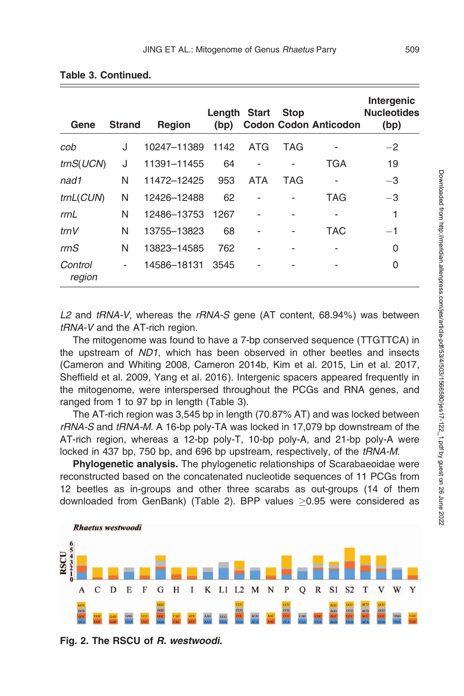| Gene                      | <b>Strand</b> | <b>Region</b> | Length Start<br>(bp) |            | <b>Stop</b> | <b>Codon Codon Anticodon</b> | Intergenic<br><b>Nucleotides</b><br>(bp) |
|---------------------------|---------------|---------------|----------------------|------------|-------------|------------------------------|------------------------------------------|
| cob                       | J             | 10247-11389   | 1142                 | ATG        | <b>TAG</b>  |                              | $-2$                                     |
| $\text{trnS}(\text{UCN})$ | J             | 11391-11455   | 64                   |            |             | TGA                          | 19                                       |
| nad1                      | N             | 11472-12425   | 953                  | <b>ATA</b> | TAG         |                              | $-3$                                     |
| trnL(CUN)                 | N             | 12426-12488   | 62                   |            |             | TAG                          | $-3$                                     |
| rrnL                      | N             | 12486-13753   | 1267                 |            |             |                              | 1                                        |
| trnV                      | N             | 13755-13823   | 68                   |            |             | <b>TAC</b>                   | $-1$                                     |
| $\mathsf{rrnS}$           | N             | 13823-14585   | 762                  |            |             |                              | 0                                        |
| Control<br>region         | ٠             | 14586-18131   | 3545                 |            |             |                              | 0                                        |

#### Table 3. Continued.

L2 and  $tRNA-V$ , whereas the  $rRNA-S$  gene (AT content, 68.94%) was between tRNA-V and the AT-rich region.

The mitogenome was found to have a 7-bp conserved sequence (TTGTTCA) in the upstream of ND1, which has been observed in other beetles and insects (Cameron and Whiting 2008, Cameron 2014b, Kim et al. 2015, Lin et al. 2017, Sheffield et al. 2009, Yang et al. 2016). Intergenic spacers appeared frequently in the mitogenome, were interspersed throughout the PCGs and RNA genes, and ranged from 1 to 97 bp in length (Table 3).

The AT-rich region was 3,545 bp in length (70.87% AT) and was locked between rRNA-S and tRNA-M. A 16-bp poly-TA was locked in 17,079 bp downstream of the AT-rich region, whereas a 12-bp poly-T, 10-bp poly-A, and 21-bp poly-A were locked in 437 bp, 750 bp, and 696 bp upstream, respectively, of the tRNA-M.

Phylogenetic analysis. The phylogenetic relationships of Scarabaeoidae were reconstructed based on the concatenated nucleotide sequences of 11 PCGs from 12 beetles as in-groups and other three scarabs as out-groups (14 of them downloaded from GenBank) (Table 2). BPP values  $\geq$ 0.95 were considered as



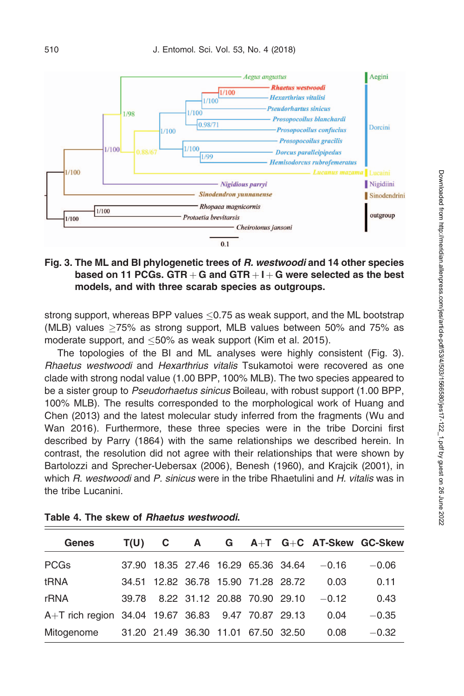

## Fig. 3. The ML and BI phylogenetic trees of R. westwoodi and 14 other species based on 11 PCGs. GTR  $+$  G and GTR  $+$  I  $+$  G were selected as the best models, and with three scarab species as outgroups.

strong support, whereas BPP values  $\leq$ 0.75 as weak support, and the ML bootstrap (MLB) values 75% as strong support, MLB values between 50% and 75% as moderate support, and  $\leq 50\%$  as weak support (Kim et al. 2015).

The topologies of the BI and ML analyses were highly consistent (Fig. 3). Rhaetus westwoodi and Hexarthrius vitalis Tsukamotoi were recovered as one clade with strong nodal value (1.00 BPP, 100% MLB). The two species appeared to be a sister group to Pseudorhaetus sinicus Boileau, with robust support (1.00 BPP, 100% MLB). The results corresponded to the morphological work of Huang and Chen (2013) and the latest molecular study inferred from the fragments (Wu and Wan 2016). Furthermore, these three species were in the tribe Dorcini first described by Parry (1864) with the same relationships we described herein. In contrast, the resolution did not agree with their relationships that were shown by Bartolozzi and Sprecher-Uebersax (2006), Benesh (1960), and Krajcik (2001), in which R. westwoodi and P. sinicus were in the tribe Rhaetulini and H. vitalis was in the tribe Lucanini.

| <b>Genes</b>                                       | T(U) |  |                                     |  | $C$ A G A+T G+C AT-Skew GC-Skew           |         |
|----------------------------------------------------|------|--|-------------------------------------|--|-------------------------------------------|---------|
| <b>PCGs</b>                                        |      |  |                                     |  | 37.90 18.35 27.46 16.29 65.36 34.64 -0.16 | $-0.06$ |
| tRNA                                               |      |  | 34.51 12.82 36.78 15.90 71.28 28.72 |  | 0.03                                      | 0.11    |
| rRNA                                               |      |  | 39.78 8.22 31.12 20.88 70.90 29.10  |  | $-0.12$                                   | 0.43    |
| A+T rich region 34.04 19.67 36.83 9.47 70.87 29.13 |      |  |                                     |  | 0.04                                      | $-0.35$ |
| Mitogenome                                         |      |  | 31.20 21.49 36.30 11.01 67.50 32.50 |  | 0.08                                      | $-0.32$ |

Table 4. The skew of Rhaetus westwoodi.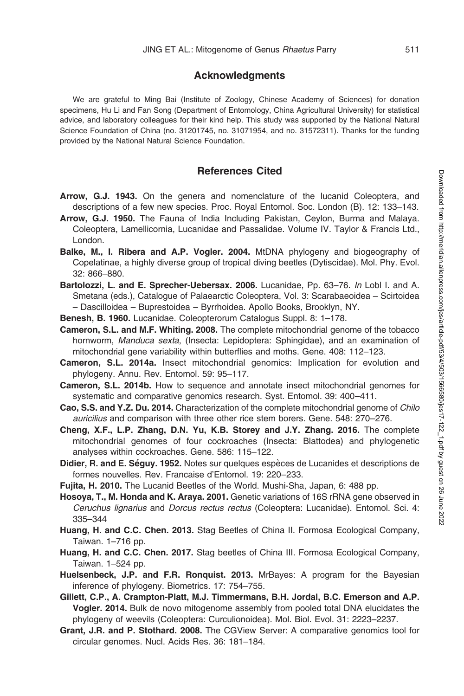#### Acknowledgments

We are grateful to Ming Bai (Institute of Zoology, Chinese Academy of Sciences) for donation specimens, Hu Li and Fan Song (Department of Entomology, China Agricultural University) for statistical advice, and laboratory colleagues for their kind help. This study was supported by the National Natural Science Foundation of China (no. 31201745, no. 31071954, and no. 31572311). Thanks for the funding provided by the National Natural Science Foundation.

#### References Cited

- Arrow, G.J. 1943. On the genera and nomenclature of the lucanid Coleoptera, and descriptions of a few new species. Proc. Royal Entomol. Soc. London (B). 12: 133–143.
- Arrow, G.J. 1950. The Fauna of India Including Pakistan, Ceylon, Burma and Malaya. Coleoptera, Lamellicornia, Lucanidae and Passalidae. Volume IV. Taylor & Francis Ltd., London.
- Balke, M., I. Ribera and A.P. Vogler. 2004. MtDNA phylogeny and biogeography of Copelatinae, a highly diverse group of tropical diving beetles (Dytiscidae). Mol. Phy. Evol. 32: 866–880.
- Bartolozzi, L. and E. Sprecher-Uebersax. 2006. Lucanidae, Pp. 63-76. In Lobl I. and A. Smetana (eds.), Catalogue of Palaearctic Coleoptera, Vol. 3: Scarabaeoidea – Scirtoidea – Dascilloidea – Buprestoidea – Byrrhoidea. Apollo Books, Brooklyn, NY.
- Benesh, B. 1960. Lucanidae. Coleopterorum Catalogus Suppl. 8: 1–178.
- Cameron, S.L. and M.F. Whiting. 2008. The complete mitochondrial genome of the tobacco hornworm, Manduca sexta, (Insecta: Lepidoptera: Sphingidae), and an examination of mitochondrial gene variability within butterflies and moths. Gene. 408: 112–123.
- Cameron, S.L. 2014a. Insect mitochondrial genomics: Implication for evolution and phylogeny. Annu. Rev. Entomol. 59: 95–117.
- Cameron, S.L. 2014b. How to sequence and annotate insect mitochondrial genomes for systematic and comparative genomics research. Syst. Entomol. 39: 400–411.
- Cao, S.S. and Y.Z. Du. 2014. Characterization of the complete mitochondrial genome of Chilo auricilius and comparison with three other rice stem borers. Gene. 548: 270–276.
- Cheng, X.F., L.P. Zhang, D.N. Yu, K.B. Storey and J.Y. Zhang. 2016. The complete mitochondrial genomes of four cockroaches (Insecta: Blattodea) and phylogenetic analyses within cockroaches. Gene. 586: 115–122.
- Didier, R. and E. Séguy. 1952. Notes sur quelques espèces de Lucanides et descriptions de formes nouvelles. Rev. Francaise d'Entomol. 19: 220–233.
- Fujita, H. 2010. The Lucanid Beetles of the World. Mushi-Sha, Japan, 6: 488 pp.
- Hosoya, T., M. Honda and K. Araya. 2001. Genetic variations of 16S rRNA gene observed in Ceruchus lignarius and Dorcus rectus rectus (Coleoptera: Lucanidae). Entomol. Sci. 4: 335–344
- Huang, H. and C.C. Chen. 2013. Stag Beetles of China II. Formosa Ecological Company, Taiwan. 1–716 pp.
- Huang, H. and C.C. Chen. 2017. Stag beetles of China III. Formosa Ecological Company, Taiwan. 1–524 pp.
- Huelsenbeck, J.P. and F.R. Ronquist. 2013. MrBayes: A program for the Bayesian inference of phylogeny. Biometrics. 17: 754–755.
- Gillett, C.P., A. Crampton-Platt, M.J. Timmermans, B.H. Jordal, B.C. Emerson and A.P. Vogler. 2014. Bulk de novo mitogenome assembly from pooled total DNA elucidates the phylogeny of weevils (Coleoptera: Curculionoidea). Mol. Biol. Evol. 31: 2223–2237.
- Grant, J.R. and P. Stothard. 2008. The CGView Server: A comparative genomics tool for circular genomes. Nucl. Acids Res. 36: 181–184.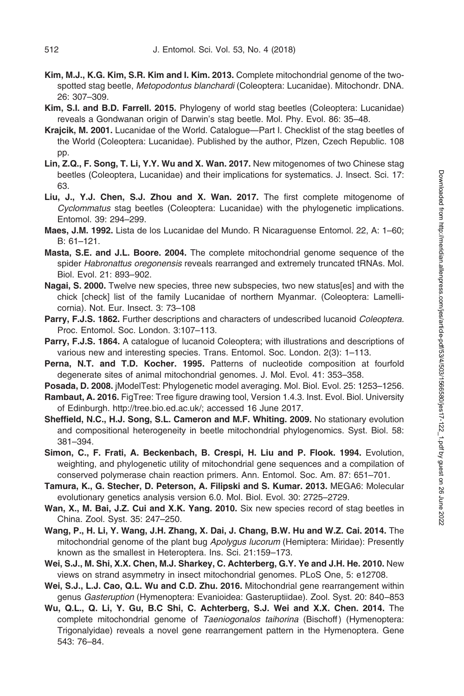- Kim, M.J., K.G. Kim, S.R. Kim and I. Kim. 2013. Complete mitochondrial genome of the twospotted stag beetle, Metopodontus blanchardi (Coleoptera: Lucanidae). Mitochondr. DNA. 26: 307–309.
- Kim, S.I. and B.D. Farrell. 2015. Phylogeny of world stag beetles (Coleoptera: Lucanidae) reveals a Gondwanan origin of Darwin's stag beetle. Mol. Phy. Evol. 86: 35–48.
- Krajcik, M. 2001. Lucanidae of the World. Catalogue—Part I. Checklist of the stag beetles of the World (Coleoptera: Lucanidae). Published by the author, Plzen, Czech Republic. 108 pp.
- Lin, Z.Q., F. Song, T. Li, Y.Y. Wu and X. Wan. 2017. New mitogenomes of two Chinese stag beetles (Coleoptera, Lucanidae) and their implications for systematics. J. Insect. Sci. 17: 63.
- Liu, J., Y.J. Chen, S.J. Zhou and X. Wan. 2017. The first complete mitogenome of Cyclommatus stag beetles (Coleoptera: Lucanidae) with the phylogenetic implications. Entomol. 39: 294–299.
- Maes, J.M. 1992. Lista de los Lucanidae del Mundo. R Nicaraguense Entomol. 22, A: 1–60; B: 61–121.
- Masta, S.E. and J.L. Boore. 2004. The complete mitochondrial genome sequence of the spider Habronattus oregonensis reveals rearranged and extremely truncated tRNAs. Mol. Biol. Evol. 21: 893–902.
- Nagai, S. 2000. Twelve new species, three new subspecies, two new status[es] and with the chick [check] list of the family Lucanidae of northern Myanmar. (Coleoptera: Lamellicornia). Not. Eur. Insect. 3: 73–108
- Parry, F.J.S. 1862. Further descriptions and characters of undescribed lucanoid Coleoptera. Proc. Entomol. Soc. London. 3:107–113.
- Parry, F.J.S. 1864. A catalogue of lucanoid Coleoptera; with illustrations and descriptions of various new and interesting species. Trans. Entomol. Soc. London. 2(3): 1–113.
- Perna, N.T. and T.D. Kocher. 1995. Patterns of nucleotide composition at fourfold degenerate sites of animal mitochondrial genomes. J. Mol. Evol. 41: 353–358.
- Posada, D. 2008. jModelTest: Phylogenetic model averaging. Mol. Biol. Evol. 25: 1253–1256. Rambaut, A. 2016. FigTree: Tree figure drawing tool, Version 1.4.3. Inst. Evol. Biol. University of Edinburgh. http://tree.bio.ed.ac.uk/; accessed 16 June 2017.
- Sheffield, N.C., H.J. Song, S.L. Cameron and M.F. Whiting. 2009. No stationary evolution and compositional heterogeneity in beetle mitochondrial phylogenomics. Syst. Biol. 58: 381–394.
- Simon, C., F. Frati, A. Beckenbach, B. Crespi, H. Liu and P. Flook. 1994. Evolution, weighting, and phylogenetic utility of mitochondrial gene sequences and a compilation of conserved polymerase chain reaction primers. Ann. Entomol. Soc. Am. 87: 651–701.
- Tamura, K., G. Stecher, D. Peterson, A. Filipski and S. Kumar. 2013. MEGA6: Molecular evolutionary genetics analysis version 6.0. Mol. Biol. Evol. 30: 2725–2729.
- Wan, X., M. Bai, J.Z. Cui and X.K. Yang. 2010. Six new species record of stag beetles in China. Zool. Syst. 35: 247–250.
- Wang, P., H. Li, Y. Wang, J.H. Zhang, X. Dai, J. Chang, B.W. Hu and W.Z. Cai. 2014. The mitochondrial genome of the plant bug Apolygus lucorum (Hemiptera: Miridae): Presently known as the smallest in Heteroptera. Ins. Sci. 21:159–173.
- Wei, S.J., M. Shi, X.X. Chen, M.J. Sharkey, C. Achterberg, G.Y. Ye and J.H. He. 2010. New views on strand asymmetry in insect mitochondrial genomes. PLoS One, 5: e12708.
- Wei, S.J., L.J. Cao, Q.L. Wu and C.D. Zhu. 2016. Mitochondrial gene rearrangement within genus Gasteruption (Hymenoptera: Evanioidea: Gasteruptiidae). Zool. Syst. 20: 840–853
- Wu, Q.L., Q. Li, Y. Gu, B.C Shi, C. Achterberg, S.J. Wei and X.X. Chen. 2014. The complete mitochondrial genome of Taeniogonalos taihorina (Bischoff) (Hymenoptera: Trigonalyidae) reveals a novel gene rearrangement pattern in the Hymenoptera. Gene 543: 76–84.